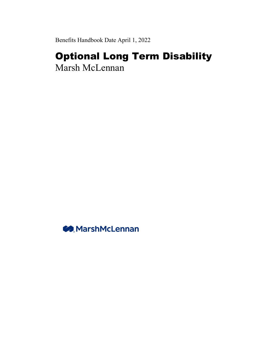Benefits Handbook Date April 1, 2022

# Optional Long Term Disability Marsh McLennan

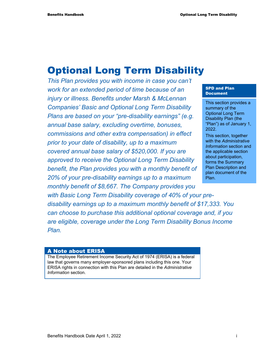# Optional Long Term Disability

*This Plan provides you with income in case you can't work for an extended period of time because of an injury or illness. Benefits under Marsh & McLennan Companies' Basic and Optional Long Term Disability Plans are based on your "pre-disability earnings" (e.g. annual base salary, excluding overtime, bonuses, commissions and other extra compensation) in effect prior to your date of disability, up to a maximum covered annual base salary of \$520,000. If you are approved to receive the Optional Long Term Disability benefit, the Plan provides you with a monthly benefit of 20% of your pre-disability earnings up to a maximum monthly benefit of \$8,667. The Company provides you* 

#### SPD and Plan Document

This section provides a summary of the Optional Long Term Disability Plan (the "Plan") as of January 1, 2022.

This section, together with the *Administrative Information* section and the applicable section about participation, forms the Summary Plan Description and plan document of the Plan.

*with Basic Long Term Disability coverage of 40% of your predisability earnings up to a maximum monthly benefit of \$17,333. You can choose to purchase this additional optional coverage and, if you are eligible, coverage under the Long Term Disability Bonus Income Plan.* 

#### A Note about ERISA

The Employee Retirement Income Security Act of 1974 (ERISA) is a federal law that governs many employer-sponsored plans including this one. Your ERISA rights in connection with this Plan are detailed in the *Administrative Information* section.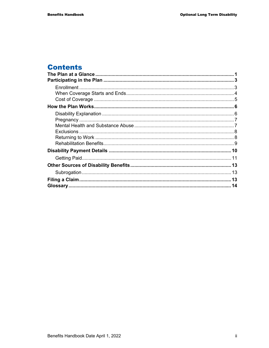## **Contents**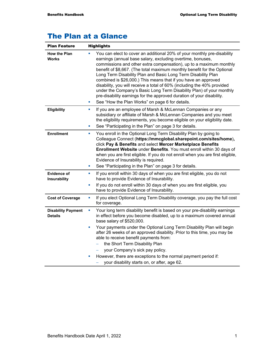## The Plan at a Glance

| <b>Plan Feature</b>                         | <b>Highlights</b>                                                                                                                                                                                                                                                                                                                                                                                                                                                                                                                                                                                                                                                                                             |  |  |
|---------------------------------------------|---------------------------------------------------------------------------------------------------------------------------------------------------------------------------------------------------------------------------------------------------------------------------------------------------------------------------------------------------------------------------------------------------------------------------------------------------------------------------------------------------------------------------------------------------------------------------------------------------------------------------------------------------------------------------------------------------------------|--|--|
| <b>How the Plan</b><br><b>Works</b>         | You can elect to cover an additional 20% of your monthly pre-disability<br>earnings (annual base salary, excluding overtime, bonuses,<br>commissions and other extra compensation), up to a maximum monthly<br>benefit of \$8,667. (The total maximum monthly benefit for the Optional<br>Long Term Disability Plan and Basic Long Term Disability Plan<br>combined is \$26,000.) This means that if you have an approved<br>disability, you will receive a total of 60% (including the 40% provided<br>under the Company's Basic Long Term Disability Plan) of your monthly<br>pre-disability earnings for the approved duration of your disability.<br>See "How the Plan Works" on page 6 for details.<br>ш |  |  |
| Eligibility                                 | If you are an employee of Marsh & McLennan Companies or any<br>L.<br>subsidiary or affiliate of Marsh & McLennan Companies and you meet<br>the eligibility requirements, you become eligible on your eligibility date.<br>See "Participating in the Plan" on page 3 for details.<br>ш                                                                                                                                                                                                                                                                                                                                                                                                                         |  |  |
| <b>Enrollment</b>                           | You enroll in the Optional Long Term Disability Plan by going to<br>L.<br>Colleague Connect (https://mmcglobal.sharepoint.com/sites/home),<br>click Pay & Benefits and select Mercer Marketplace Benefits<br>Enrollment Website under Benefits. You must enroll within 30 days of<br>when you are first eligible. If you do not enroll when you are first eligible,<br>Evidence of Insurability is required.<br>See "Participating in the Plan" on page 3 for details.<br>u,                                                                                                                                                                                                                                  |  |  |
| <b>Evidence of</b><br>Insurability          | If you enroll within 30 days of when you are first eligible, you do not<br>ш<br>have to provide Evidence of Insurability.<br>If you do not enroll within 30 days of when you are first eligible, you<br>u,<br>have to provide Evidence of Insurability.                                                                                                                                                                                                                                                                                                                                                                                                                                                       |  |  |
| <b>Cost of Coverage</b>                     | If you elect Optional Long Term Disability coverage, you pay the full cost<br>U,<br>for coverage.                                                                                                                                                                                                                                                                                                                                                                                                                                                                                                                                                                                                             |  |  |
| <b>Disability Payment</b><br><b>Details</b> | Your long term disability benefit is based on your pre-disability earnings<br>u,<br>in effect before you become disabled, up to a maximum covered annual<br>base salary of \$520,000.                                                                                                                                                                                                                                                                                                                                                                                                                                                                                                                         |  |  |
|                                             | Your payments under the Optional Long Term Disability Plan will begin<br>ш<br>after 26 weeks of an approved disability. Prior to this time, you may be<br>able to receive benefit payments from:<br>the Short Term Disability Plan                                                                                                                                                                                                                                                                                                                                                                                                                                                                            |  |  |
|                                             | your Company's sick pay policy.<br>However, there are exceptions to the normal payment period if:<br>×<br>your disability starts on, or after, age 62.                                                                                                                                                                                                                                                                                                                                                                                                                                                                                                                                                        |  |  |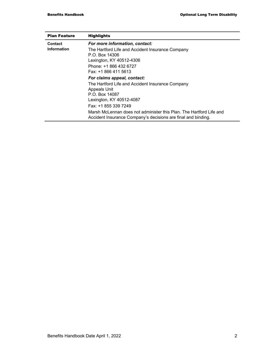| <b>Plan Feature</b> | <b>Highlights</b>                                                                                                                    |
|---------------------|--------------------------------------------------------------------------------------------------------------------------------------|
| Contact             | For more information, contact:                                                                                                       |
| Information         | The Hartford Life and Accident Insurance Company<br>P.O. Box 14306<br>Lexington, KY 40512-4306<br>Phone: +1 866 432 6727             |
|                     | Fax: +1 866 411 5613                                                                                                                 |
|                     | For claims appeal, contact:                                                                                                          |
|                     | The Hartford Life and Accident Insurance Company<br><b>Appeals Unit</b><br>P.O. Box 14087                                            |
|                     | Lexington, KY 40512-4087                                                                                                             |
|                     | Fax: +1 855 339 7249                                                                                                                 |
|                     | Marsh McLennan does not administer this Plan. The Hartford Life and<br>Accident Insurance Company's decisions are final and binding. |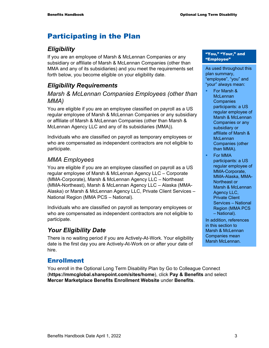## Participating in the Plan

### *Eligibility*

If you are an employee of Marsh & McLennan Companies or any subsidiary or affiliate of Marsh & McLennan Companies (other than MMA and any of its subsidiaries) and you meet the requirements set forth below, you become eligible on your eligibility date.

### *Eligibility Requirements*

#### *Marsh & McLennan Companies Employees (other than MMA)*

You are eligible if you are an employee classified on payroll as a US regular employee of Marsh & McLennan Companies or any subsidiary or affiliate of Marsh & McLennan Companies (other than Marsh & McLennan Agency LLC and any of its subsidiaries (MMA)).

Individuals who are classified on payroll as temporary employees or who are compensated as independent contractors are not eligible to participate.

#### *MMA Employees*

You are eligible if you are an employee classified on payroll as a US regular employee of Marsh & McLennan Agency LLC – Corporate (MMA-Corporate), Marsh & McLennan Agency LLC – Northeast (MMA-Northeast), Marsh & McLennan Agency LLC – Alaska (MMA-Alaska) or Marsh & McLennan Agency LLC, Private Client Services – National Region (MMA PCS – National).

Individuals who are classified on payroll as temporary employees or who are compensated as independent contractors are not eligible to participate.

### *Your Eligibility Date*

There is no waiting period if you are Actively-At-Work. Your eligibility date is the first day you are Actively-At-Work on or after your date of hire.

### Enrollment

You enroll in the Optional Long Term Disability Plan by Go to Colleague Connect (**https://mmcglobal.sharepoint.com/sites/home**), click **Pay & Benefits** and select **Mercer Marketplace Benefits Enrollment Website** under **Benefits**.

#### "You," "Your," and "Employee"

As used throughout this plan summary, "employee", "you" and "your" always mean:

- For Marsh & **McLennan Companies** participants: a US regular employee of Marsh & McLennan Companies or any subsidiary or affiliate of Marsh & **McLennan** Companies (other than MMA).
- For MMA participants: a US regular employee of MMA-Corporate, MMA-Alaska, MMA-Northeast or Marsh & McLennan Agency LLC, Private Client Services – National Region (MMA PCS – National).

In addition, references in this section to Marsh & McLennan Companies mean Marsh McLennan.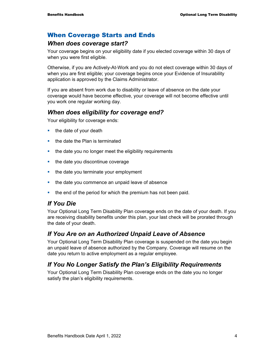#### When Coverage Starts and Ends

#### *When does coverage start?*

Your coverage begins on your eligibility date if you elected coverage within 30 days of when you were first eligible.

Otherwise, if you are Actively-At-Work and you do not elect coverage within 30 days of when you are first eligible; your coverage begins once your Evidence of Insurability application is approved by the Claims Administrator.

If you are absent from work due to disability or leave of absence on the date your coverage would have become effective, your coverage will not become effective until you work one regular working day.

#### *When does eligibility for coverage end?*

Your eligibility for coverage ends:

- $\blacksquare$  the date of your death
- $\blacksquare$  the date the Plan is terminated
- the date you no longer meet the eligibility requirements
- the date you discontinue coverage
- $\blacksquare$  the date you terminate your employment
- **the date you commence an unpaid leave of absence**
- the end of the period for which the premium has not been paid.

#### *If You Die*

Your Optional Long Term Disability Plan coverage ends on the date of your death. If you are receiving disability benefits under this plan, your last check will be prorated through the date of your death.

#### *If You Are on an Authorized Unpaid Leave of Absence*

Your Optional Long Term Disability Plan coverage is suspended on the date you begin an unpaid leave of absence authorized by the Company. Coverage will resume on the date you return to active employment as a regular employee.

### *If You No Longer Satisfy the Plan's Eligibility Requirements*

Your Optional Long Term Disability Plan coverage ends on the date you no longer satisfy the plan's eligibility requirements.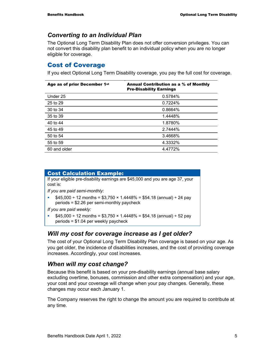#### *Converting to an Individual Plan*

The Optional Long Term Disability Plan does not offer conversion privileges. You can not convert this disability plan benefit to an individual policy when you are no longer eligible for coverage.

#### Cost of Coverage

If you elect Optional Long Term Disability coverage, you pay the full cost for coverage.

| Age as of prior December 1st | Annual Contribution as a % of Monthly<br><b>Pre-Disability Earnings</b> |
|------------------------------|-------------------------------------------------------------------------|
| Under 25                     | 0.5784%                                                                 |
| 25 to 29                     | 0.7224%                                                                 |
| 30 to 34                     | 0.8664%                                                                 |
| 35 to 39                     | 1.4448%                                                                 |
| 40 to 44                     | 1.8780%                                                                 |
| 45 to 49                     | 2.7444%                                                                 |
| 50 to 54                     | 3.4668%                                                                 |
| 55 to 59                     | 4.3332%                                                                 |
| 60 and older                 | 4.4772%                                                                 |

#### Cost Calculation Example:

If your eligible pre-disability earnings are \$45,000 and you are age 37, your cost is:

*If you are paid semi-monthly:*

 $\frac{1}{2}$  \$45,000 ÷ 12 months = \$3,750 × 1.4448% = \$54.18 (annual) ÷ 24 pay periods = \$2.26 per semi-monthly paycheck

*If you are paid weekly:* 

 $$45,000 \div 12$  months = \$3,750  $\times$  1.4448% = \$54.18 (annual)  $\div$  52 pay periods = \$1.04 per weekly paycheck

#### *Will my cost for coverage increase as I get older?*

The cost of your Optional Long Term Disability Plan coverage is based on your age. As you get older, the incidence of disabilities increases, and the cost of providing coverage increases. Accordingly, your cost increases.

### *When will my cost change?*

Because this benefit is based on your pre-disability earnings (annual base salary excluding overtime, bonuses, commission and other extra compensation) and your age, your cost and your coverage will change when your pay changes. Generally, these changes may occur each January 1.

The Company reserves the right to change the amount you are required to contribute at any time.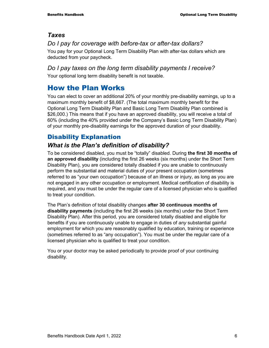#### *Taxes*

#### *Do I pay for coverage with before-tax or after-tax dollars?*

You pay for your Optional Long Term Disability Plan with after-tax dollars which are deducted from your paycheck.

#### *Do I pay taxes on the long term disability payments I receive?*

Your optional long term disability benefit is not taxable.

### How the Plan Works

You can elect to cover an additional 20% of your monthly pre-disability earnings, up to a maximum monthly benefit of \$8,667. (The total maximum monthly benefit for the Optional Long Term Disability Plan and Basic Long Term Disability Plan combined is \$26,000.) This means that if you have an approved disability, you will receive a total of 60% (including the 40% provided under the Company's Basic Long Term Disability Plan) of your monthly pre-disability earnings for the approved duration of your disability.

### Disability Explanation

### *What is the Plan's definition of disability?*

To be considered disabled, you must be "totally" disabled. During **the first 30 months of an approved disability** (including the first 26 weeks (six months) under the Short Term Disability Plan), you are considered totally disabled if you are unable to continuously perform the substantial and material duties of *your* present occupation (sometimes referred to as "your own occupation") because of an illness or injury, as long as you are not engaged in any other occupation or employment. Medical certification of disability is required, and you must be under the regular care of a licensed physician who is qualified to treat your condition.

The Plan's definition of total disability changes **after 30 continuous months of disability payments** (including the first 26 weeks (six months) under the Short Term Disability Plan). After this period, you are considered totally disabled and eligible for benefits if you are continuously unable to engage in duties of *any* substantial gainful employment for which you are reasonably qualified by education, training or experience (sometimes referred to as "any occupation"). You must be under the regular care of a licensed physician who is qualified to treat your condition.

You or your doctor may be asked periodically to provide proof of your continuing disability.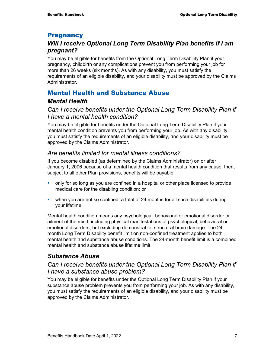#### **Pregnancy**

### *Will I receive Optional Long Term Disability Plan benefits if I am pregnant?*

You may be eligible for benefits from the Optional Long Term Disability Plan if your pregnancy, childbirth or any complications prevent you from performing your job for more than 26 weeks (six months). As with any disability, you must satisfy the requirements of an eligible disability, and your disability must be approved by the Claims **Administrator** 

### Mental Health and Substance Abuse

#### *Mental Health*

*Can I receive benefits under the Optional Long Term Disability Plan if I have a mental health condition?* 

You may be eligible for benefits under the Optional Long Term Disability Plan if your mental health condition prevents you from performing your job. As with any disability, you must satisfy the requirements of an eligible disability, and your disability must be approved by the Claims Administrator.

#### *Are benefits limited for mental illness conditions?*

If you become disabled (as determined by the Claims Administrator) on or after January 1, 2006 because of a mental health condition that results from any cause, then, subject to all other Plan provisions, benefits will be payable:

- only for so long as you are confined in a hospital or other place licensed to provide medical care for the disabling condition; or
- when you are not so confined, a total of 24 months for all such disabilities during your lifetime.

Mental health condition means any psychological, behavioral or emotional disorder or ailment of the mind, including physical manifestations of psychological, behavioral or emotional disorders, but excluding demonstrable, structural brain damage. The 24 month Long Term Disability benefit limit on non-confined treatment applies to both mental health and substance abuse conditions. The 24-month benefit limit is a combined mental health and substance abuse lifetime limit.

### *Substance Abuse*

#### *Can I receive benefits under the Optional Long Term Disability Plan if I have a substance abuse problem?*

You may be eligible for benefits under the Optional Long Term Disability Plan if your substance abuse problem prevents you from performing your job. As with any disability, you must satisfy the requirements of an eligible disability, and your disability must be approved by the Claims Administrator.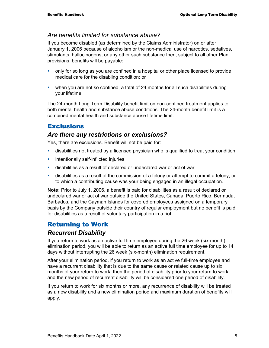#### *Are benefits limited for substance abuse?*

If you become disabled (as determined by the Claims Administrator) on or after January 1, 2006 because of alcoholism or the non-medical use of narcotics, sedatives, stimulants, hallucinogens, or any other such substance then, subject to all other Plan provisions, benefits will be payable:

- only for so long as you are confined in a hospital or other place licensed to provide medical care for the disabling condition; or
- when you are not so confined, a total of 24 months for all such disabilities during your lifetime.

The 24-month Long Term Disability benefit limit on non-confined treatment applies to both mental health and substance abuse conditions. The 24-month benefit limit is a combined mental health and substance abuse lifetime limit.

#### **Exclusions**

#### *Are there any restrictions or exclusions?*

Yes, there are exclusions. Benefit will not be paid for:

- disabilities not treated by a licensed physician who is qualified to treat your condition
- **EXECUTE:** intentionally self-inflicted injuries
- disabilities as a result of declared or undeclared war or act of war
- disabilities as a result of the commission of a felony or attempt to commit a felony, or to which a contributing cause was your being engaged in an illegal occupation.

**Note:** Prior to July 1, 2006, a benefit is paid for disabilities as a result of declared or undeclared war or act of war outside the United States, Canada, Puerto Rico, Bermuda, Barbados, and the Cayman Islands for covered employees assigned on a temporary basis by the Company outside their country of regular employment but no benefit is paid for disabilities as a result of voluntary participation in a riot.

#### Returning to Work

#### *Recurrent Disability*

If you return to work as an active full time employee during the 26 week (six-month) elimination period, you will be able to return as an active full time employee for up to 14 days without interrupting the 26 week (six-month) elimination requirement.

After your elimination period, if you return to work as an active full-time employee and have a recurrent disability that is due to the same cause or related cause up to six months of your return to work, then the period of disability prior to your return to work and the new period of recurrent disability will be considered one period of disability.

If you return to work for six months or more, any recurrence of disability will be treated as a new disability and a new elimination period and maximum duration of benefits will apply.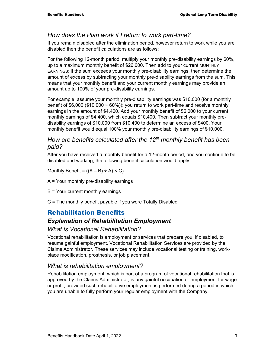#### *How does the Plan work if I return to work part-time?*

If you remain disabled after the elimination period, however return to work while you are disabled then the benefit calculations are as follows:

For the following 12-month period; multiply your monthly pre-disability earnings by 60%, up to a maximum monthly benefit of \$26,000. Then add to your current MONTHLY EARNINGS; if the sum exceeds your monthly pre-disability earnings, then determine the amount of excess by subtracting your monthly pre-disability earnings from the sum. This means that your monthly benefit and your current monthly earnings may provide an amount up to 100% of your pre-disability earnings.

For example, assume your monthly pre-disability earnings was \$10,000 (for a monthly benefit of  $$6,000$  ( $$10,000 \times 60\%$ )); you return to work part-time and receive monthly earnings in the amount of \$4,400. Add your monthly benefit of \$6,000 to your current monthly earnings of \$4,400, which equals \$10,400. Then subtract your monthly predisability earnings of \$10,000 from \$10,400 to determine an excess of \$400. Your monthly benefit would equal 100% your monthly pre-disability earnings of \$10,000.

#### *How are benefits calculated after the 12th monthly benefit has been paid?*

After you have received a monthly benefit for a 12-month period, and you continue to be disabled and working, the following benefit calculation would apply:

Monthly Benefit =  $((A - B) \div A) \times C)$ 

- A = Your monthly pre-disability earnings
- B = Your current monthly earnings
- C = The monthly benefit payable if you were Totally Disabled

#### Rehabilitation Benefits

#### *Explanation of Rehabilitation Employment*

#### *What is Vocational Rehabilitation?*

Vocational rehabilitation is employment or services that prepare you, if disabled, to resume gainful employment. Vocational Rehabilitation Services are provided by the Claims Administrator. These services may include vocational testing or training, workplace modification, prosthesis, or job placement.

#### *What is rehabilitation employment?*

Rehabilitation employment, which is part of a program of vocational rehabilitation that is approved by the Claims Administrator, is any gainful occupation or employment for wage or profit, provided such rehabilitative employment is performed during a period in which you are unable to fully perform your regular employment with the Company.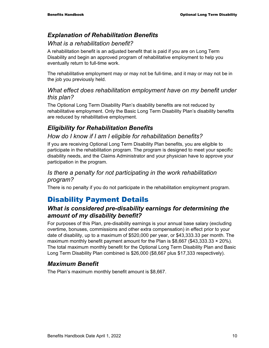#### *Explanation of Rehabilitation Benefits*

#### *What is a rehabilitation benefit?*

A rehabilitation benefit is an adjusted benefit that is paid if you are on Long Term Disability and begin an approved program of rehabilitative employment to help you eventually return to full-time work.

The rehabilitative employment may or may not be full-time, and it may or may not be in the job you previously held.

#### *What effect does rehabilitation employment have on my benefit under this plan?*

The Optional Long Term Disability Plan's disability benefits are not reduced by rehabilitative employment. Only the Basic Long Term Disability Plan's disability benefits are reduced by rehabilitative employment.

#### *Eligibility for Rehabilitation Benefits*

#### *How do I know if I am I eligible for rehabilitation benefits?*

If you are receiving Optional Long Term Disability Plan benefits, you are eligible to participate in the rehabilitation program. The program is designed to meet your specific disability needs, and the Claims Administrator and your physician have to approve your participation in the program.

#### *Is there a penalty for not participating in the work rehabilitation program?*

There is no penalty if you do not participate in the rehabilitation employment program.

## Disability Payment Details

#### *What is considered pre-disability earnings for determining the amount of my disability benefit?*

For purposes of this Plan, pre-disability earnings is your annual base salary (excluding overtime, bonuses, commissions and other extra compensation) in effect prior to your date of disability, up to a maximum of \$520,000 per year, or \$43,333.33 per month. The maximum monthly benefit payment amount for the Plan is  $$8,667$  (\$43,333.33  $\times$  20%). The total maximum monthly benefit for the Optional Long Term Disability Plan and Basic Long Term Disability Plan combined is \$26,000 (\$8,667 plus \$17,333 respectively).

#### *Maximum Benefit*

The Plan's maximum monthly benefit amount is \$8,667.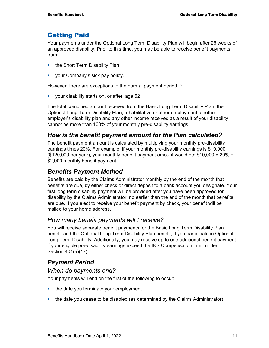#### Getting Paid

Your payments under the Optional Long Term Disability Plan will begin after 26 weeks of an approved disability. Prior to this time, you may be able to receive benefit payments from:

- the Short Term Disability Plan
- **vour Company's sick pay policy.**

However, there are exceptions to the normal payment period if:

**v** your disability starts on, or after, age 62

The total combined amount received from the Basic Long Term Disability Plan, the Optional Long Term Disability Plan, rehabilitative or other employment, another employer's disability plan and any other income received as a result of your disability cannot be more than 100% of your monthly pre-disability earnings.

#### *How is the benefit payment amount for the Plan calculated?*

The benefit payment amount is calculated by multiplying your monthly pre-disability earnings times 20%. For example, if your monthly pre-disability earnings is \$10,000 (\$120,000 per year), your monthly benefit payment amount would be:  $$10,000 \times 20\% =$ \$2,000 monthly benefit payment.

#### *Benefits Payment Method*

Benefits are paid by the Claims Administrator monthly by the end of the month that benefits are due, by either check or direct deposit to a bank account you designate. Your first long term disability payment will be provided after you have been approved for disability by the Claims Administrator, no earlier than the end of the month that benefits are due. If you elect to receive your benefit payment by check, your benefit will be mailed to your home address.

#### *How many benefit payments will I receive?*

You will receive separate benefit payments for the Basic Long Term Disability Plan benefit and the Optional Long Term Disability Plan benefit, if you participate in Optional Long Term Disability. Additionally, you may receive up to one additional benefit payment if your eligible pre-disability earnings exceed the IRS Compensation Limit under Section 401(a)(17).

#### *Payment Period*

#### *When do payments end?*

Your payments will end on the first of the following to occur:

- $\blacksquare$  the date you terminate your employment
- the date you cease to be disabled (as determined by the Claims Administrator)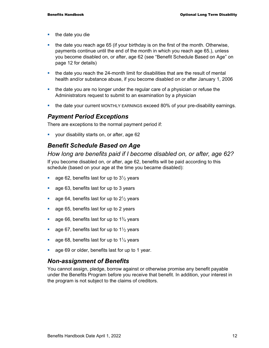- $\blacksquare$  the date you die
- $\blacksquare$  the date you reach age 65 (if your birthday is on the first of the month. Otherwise, payments continue until the end of the month in which you reach age 65.), unless you become disabled on, or after, age 62 (see "Benefit Schedule Based on Age" on page 12 for details)
- the date you reach the 24-month limit for disabilities that are the result of mental health and/or substance abuse, if you become disabled on or after January 1, 2006
- the date you are no longer under the regular care of a physician or refuse the Administrators request to submit to an examination by a physician
- **the date your current MONTHLY EARNINGS exceed 80% of your pre-disability earnings.**

#### *Payment Period Exceptions*

There are exceptions to the normal payment period if:

**•** your disability starts on, or after, age 62

#### *Benefit Schedule Based on Age*

*How long are benefits paid if I become disabled on, or after, age 62?*  If you become disabled on, or after, age 62, benefits will be paid according to this schedule (based on your age at the time you became disabled):

- age 62, benefits last for up to  $3\frac{1}{2}$  years
- **age 63, benefits last for up to 3 years**
- age 64, benefits last for up to  $2\frac{1}{2}$  years
- **age 65, benefits last for up to 2 years**
- age 66, benefits last for up to  $1\frac{3}{4}$  years
- age 67, benefits last for up to  $1\frac{1}{2}$  years
- age 68, benefits last for up to  $1\frac{1}{4}$  years
- **age 69 or older, benefits last for up to 1 year.**

#### *Non-assignment of Benefits*

You cannot assign, pledge, borrow against or otherwise promise any benefit payable under the Benefits Program before you receive that benefit. In addition, your interest in the program is not subject to the claims of creditors.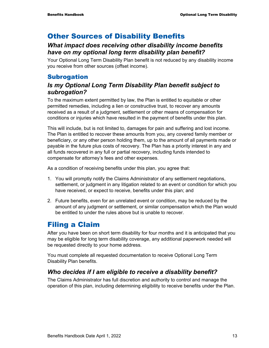## Other Sources of Disability Benefits

#### *What impact does receiving other disability income benefits have on my optional long term disability plan benefit?*

Your Optional Long Term Disability Plan benefit is not reduced by any disability income you receive from other sources (offset income).

#### **Subrogation**

#### *Is my Optional Long Term Disability Plan benefit subject to subrogation?*

To the maximum extent permitted by law, the Plan is entitled to equitable or other permitted remedies, including a lien or constructive trust, to recover any amounts received as a result of a judgment, settlement or other means of compensation for conditions or injuries which have resulted in the payment of benefits under this plan.

This will include, but is not limited to, damages for pain and suffering and lost income. The Plan is entitled to recover these amounts from you, any covered family member or beneficiary, or any other person holding them, up to the amount of all payments made or payable in the future plus costs of recovery. The Plan has a priority interest in any and all funds recovered in any full or partial recovery, including funds intended to compensate for attorney's fees and other expenses.

As a condition of receiving benefits under this plan, you agree that:

- 1. You will promptly notify the Claims Administrator of any settlement negotiations, settlement, or judgment in any litigation related to an event or condition for which you have received, or expect to receive, benefits under this plan; and
- 2. Future benefits, even for an unrelated event or condition, may be reduced by the amount of any judgment or settlement, or similar compensation which the Plan would be entitled to under the rules above but is unable to recover.

## Filing a Claim

After you have been on short term disability for four months and it is anticipated that you may be eligible for long term disability coverage, any additional paperwork needed will be requested directly to your home address.

You must complete all requested documentation to receive Optional Long Term Disability Plan benefits.

### *Who decides if I am eligible to receive a disability benefit?*

The Claims Administrator has full discretion and authority to control and manage the operation of this plan, including determining eligibility to receive benefits under the Plan.